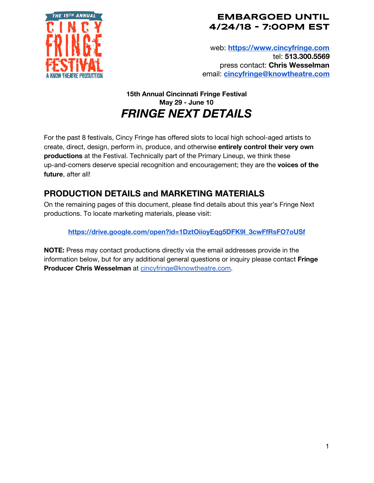

### **EMBARGOED UNTIL 4/24/18 - 7:00PM EST**

web: **[https://www.cincyfringe.com](https://www.cincyfringe.com/)** tel: **513.300.5569** press contact: **Chris Wesselman** email: **[cincyfringe@knowtheatre.com](mailto:cincyfringe@knowtheatre.com)**

## **15th Annual Cincinnati Fringe Festival May 29 - June 10** *FRINGE NEXT DETAILS*

For the past 8 festivals, Cincy Fringe has offered slots to local high school-aged artists to create, direct, design, perform in, produce, and otherwise **entirely control their very own productions** at the Festival. Technically part of the Primary Lineup, we think these up-and-comers deserve special recognition and encouragement; they are the **voices of the future**, after all!

# **PRODUCTION DETAILS and MARKETING MATERIALS**

On the remaining pages of this document, please find details about this year's Fringe Next productions. To locate marketing materials, please visit:

**[https://drive.google.com/open?id=1DztOiioyEqg5DFK9l\\_3cwFfRsFO7oUSf](https://drive.google.com/open?id=1DztOiioyEqg5DFK9l_3cwFfRsFO7oUSf)**

**NOTE:** Press may contact productions directly via the email addresses provide in the information below, but for any additional general questions or inquiry please contact **Fringe Producer Chris Wesselman** at [cincyfringe@knowtheatre.com.](mailto:cincyfringe@knowtheatre.com)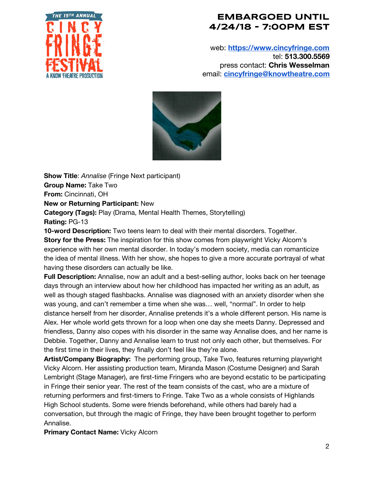

### **EMBARGOED UNTIL 4/24/18 - 7:00PM EST**

web: **[https://www.cincyfringe.com](https://www.cincyfringe.com/)** tel: **513.300.5569** press contact: **Chris Wesselman** email: **[cincyfringe@knowtheatre.com](mailto:cincyfringe@knowtheatre.com)**



**Show Title**: *Annalise* (Fringe Next participant) **Group Name:** Take Two **From:** Cincinnati, OH **New or Returning Participant:** New **Category (Tags):** Play (Drama, Mental Health Themes, Storytelling) **Rating:** PG-13

**10-word Description:** Two teens learn to deal with their mental disorders. Together. **Story for the Press:** The inspiration for this show comes from playwright Vicky Alcorn's experience with her own mental disorder. In today's modern society, media can romanticize the idea of mental illness. With her show, she hopes to give a more accurate portrayal of what having these disorders can actually be like.

**Full Description:** Annalise, now an adult and a best-selling author, looks back on her teenage days through an interview about how her childhood has impacted her writing as an adult, as well as though staged flashbacks. Annalise was diagnosed with an anxiety disorder when she was young, and can't remember a time when she was… well, "normal". In order to help distance herself from her disorder, Annalise pretends it's a whole different person. His name is Alex. Her whole world gets thrown for a loop when one day she meets Danny. Depressed and friendless, Danny also copes with his disorder in the same way Annalise does, and her name is Debbie. Together, Danny and Annalise learn to trust not only each other, but themselves. For the first time in their lives, they finally don't feel like they're alone.

**Artist/Company Biography:** The performing group, Take Two, features returning playwright Vicky Alcorn. Her assisting production team, Miranda Mason (Costume Designer) and Sarah Lembright (Stage Manager), are first-time Fringers who are beyond ecstatic to be participating in Fringe their senior year. The rest of the team consists of the cast, who are a mixture of returning performers and first-timers to Fringe. Take Two as a whole consists of Highlands High School students. Some were friends beforehand, while others had barely had a conversation, but through the magic of Fringe, they have been brought together to perform Annalise.

**Primary Contact Name:** Vicky Alcorn